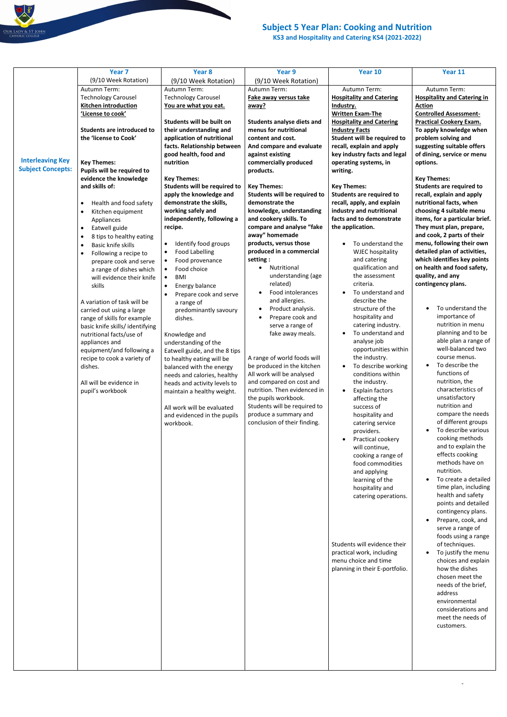## **Subject 5 Year Plan: Cooking and Nutrition**

**KS3 and Hospitality and Catering KS4 (2021-2022)**

-

|                          | Year 7                                | Year 8                              | Year 9                            | Year 10                         | Year 11                            |
|--------------------------|---------------------------------------|-------------------------------------|-----------------------------------|---------------------------------|------------------------------------|
|                          | (9/10 Week Rotation)                  | (9/10 Week Rotation)                | (9/10 Week Rotation)              |                                 |                                    |
|                          | Autumn Term:                          | Autumn Term:                        | Autumn Term:                      | Autumn Term:                    | Autumn Term:                       |
|                          | <b>Technology Carousel</b>            | <b>Technology Carousel</b>          | Fake away versus take             | <b>Hospitality and Catering</b> | <b>Hospitality and Catering in</b> |
|                          | Kitchen introduction                  | You are what you eat.               | away?                             | Industry.                       | <b>Action</b>                      |
|                          | 'License to cook'                     |                                     |                                   | <b>Written Exam-The</b>         | <b>Controlled Assessment-</b>      |
|                          |                                       | Students will be built on           | <b>Students analyse diets and</b> | <b>Hospitality and Catering</b> | <b>Practical Cookery Exam.</b>     |
|                          | <b>Students are introduced to</b>     | their understanding and             | menus for nutritional             | <b>Industry Facts</b>           | To apply knowledge when            |
|                          | the 'license to Cook'                 | application of nutritional          | content and cost.                 | Student will be required to     | problem solving and                |
|                          |                                       | facts. Relationship between         | And compare and evaluate          | recall, explain and apply       | suggesting suitable offers         |
|                          |                                       | good health, food and               | against existing                  | key industry facts and legal    | of dining, service or menu         |
| <b>Interleaving Key</b>  | <b>Key Themes:</b>                    | nutrition                           | commercially produced             | operating systems, in           | options.                           |
| <b>Subject Concepts:</b> | Pupils will be required to            |                                     | products.                         | writing.                        |                                    |
|                          | evidence the knowledge                | <b>Key Themes:</b>                  |                                   |                                 |                                    |
|                          | and skills of:                        |                                     |                                   |                                 | <b>Key Themes:</b>                 |
|                          |                                       | Students will be required to        | <b>Key Themes:</b>                | <b>Key Themes:</b>              | <b>Students are required to</b>    |
|                          |                                       | apply the knowledge and             | Students will be required to      | <b>Students are required to</b> | recall, explain and apply          |
|                          | Health and food safety<br>$\bullet$   | demonstrate the skills,             | demonstrate the                   | recall, apply, and explain      | nutritional facts, when            |
|                          | Kitchen equipment<br>$\bullet$        | working safely and                  | knowledge, understanding          | industry and nutritional        | choosing 4 suitable menu           |
|                          | Appliances                            | independently, following a          | and cookery skills. To            | facts and to demonstrate        | items, for a particular brief.     |
|                          | Eatwell guide<br>$\bullet$            | recipe.                             | compare and analyse "fake         | the application.                | They must plan, prepare,           |
|                          | 8 tips to healthy eating<br>$\bullet$ |                                     | away" homemade                    |                                 | and cook, 2 parts of their         |
|                          | Basic knife skills<br>$\bullet$       | Identify food groups<br>$\bullet$   | products, versus those            | To understand the               | menu, following their own          |
|                          | Following a recipe to<br>$\bullet$    | <b>Food Labelling</b><br>$\bullet$  | produced in a commercial          | <b>WJEC hospitality</b>         | detailed plan of activities,       |
|                          | prepare cook and serve                | Food provenance<br>$\bullet$        | setting:                          | and catering                    | which identifies key points        |
|                          | a range of dishes which               | Food choice<br>$\bullet$            | Nutritional                       | qualification and               | on health and food safety,         |
|                          | will evidence their knife             | <b>BMI</b><br>$\bullet$             | understanding (age                | the assessment                  | quality, and any                   |
|                          | skills                                | Energy balance                      | related)                          | criteria.                       | contingency plans.                 |
|                          |                                       | Prepare cook and serve<br>$\bullet$ | Food intolerances                 | To understand and               |                                    |
|                          | A variation of task will be           | a range of                          | and allergies.                    | describe the                    |                                    |
|                          |                                       |                                     | Product analysis.<br>٠            | structure of the                | To understand the                  |
|                          | carried out using a large             | predominantly savoury               | Prepare cook and                  | hospitality and                 | importance of                      |
|                          | range of skills for example           | dishes.                             | serve a range of                  | catering industry.              | nutrition in menu                  |
|                          | basic knife skills/identifying        |                                     |                                   | • To understand and             | planning and to be                 |
|                          | nutritional facts/use of              | Knowledge and                       | fake away meals.                  |                                 | able plan a range of               |
|                          | appliances and                        | understanding of the                |                                   | analyse job                     | well-balanced two                  |
|                          | equipment/and following a             | Eatwell guide, and the 8 tips       |                                   | opportunities within            | course menus.                      |
|                          | recipe to cook a variety of           | to healthy eating will be           | A range of world foods will       | the industry.                   |                                    |
|                          | dishes.                               | balanced with the energy            | be produced in the kitchen        | To describe working             | To describe the                    |
|                          |                                       | needs and calories, healthy         | All work will be analysed         | conditions within               | functions of                       |
|                          | All will be evidence in               | heads and activity levels to        | and compared on cost and          | the industry.                   | nutrition, the                     |
|                          | pupil's workbook                      | maintain a healthy weight.          | nutrition. Then evidenced in      | <b>Explain factors</b>          | characteristics of                 |
|                          |                                       |                                     | the pupils workbook.              | affecting the                   | unsatisfactory                     |
|                          |                                       | All work will be evaluated          | Students will be required to      | success of                      | nutrition and                      |
|                          |                                       | and evidenced in the pupils         | produce a summary and             | hospitality and                 | compare the needs                  |
|                          |                                       | workbook.                           | conclusion of their finding.      | catering service                | of different groups                |
|                          |                                       |                                     |                                   | providers.                      | To describe various                |
|                          |                                       |                                     |                                   | Practical cookery               | cooking methods                    |
|                          |                                       |                                     |                                   | will continue,                  | and to explain the                 |
|                          |                                       |                                     |                                   | cooking a range of              | effects cooking                    |
|                          |                                       |                                     |                                   | food commodities                | methods have on                    |
|                          |                                       |                                     |                                   | and applying                    | nutrition.                         |
|                          |                                       |                                     |                                   | learning of the                 | To create a detailed               |
|                          |                                       |                                     |                                   | hospitality and                 | time plan, including               |
|                          |                                       |                                     |                                   | catering operations.            | health and safety                  |
|                          |                                       |                                     |                                   |                                 | points and detailed                |
|                          |                                       |                                     |                                   |                                 | contingency plans.                 |
|                          |                                       |                                     |                                   |                                 | Prepare, cook, and                 |
|                          |                                       |                                     |                                   |                                 |                                    |
|                          |                                       |                                     |                                   |                                 | serve a range of                   |

OUR LADY & ST JOHN

|  |  |  |  | Students will evidence their<br>practical work, including<br>menu choice and time<br>planning in their E-portfolio. | of techniques.<br>To justify the menu<br>$\bullet$<br>choices and explain<br>how the dishes<br>chosen meet the<br>needs of the brief,<br>address<br>environmental<br>considerations and<br>meet the needs of<br>customers. |
|--|--|--|--|---------------------------------------------------------------------------------------------------------------------|----------------------------------------------------------------------------------------------------------------------------------------------------------------------------------------------------------------------------|
|--|--|--|--|---------------------------------------------------------------------------------------------------------------------|----------------------------------------------------------------------------------------------------------------------------------------------------------------------------------------------------------------------------|

foods using a range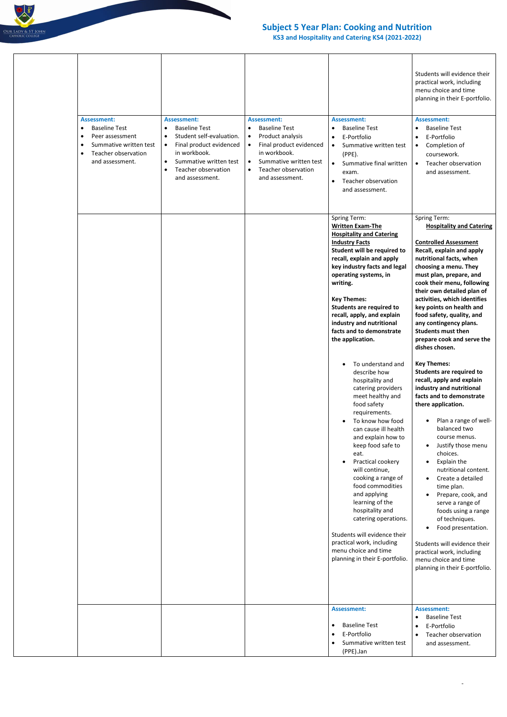

## **Subject 5 Year Plan: Cooking and Nutrition**

**KS3 and Hospitality and Catering KS4 (2021-2022)**

-

|  | <b>Assessment:</b>                                                                                                                                              | <b>Assessment:</b>                                                                                                                                                                                                         | <b>Assessment:</b>                                                                                                                                                                                          | <b>Assessment:</b>                                                                                                                                                                                                                                                                                                                                                                                                                                                                                                       | Students will evidence their<br>practical work, including<br>menu choice and time<br>planning in their E-portfolio.<br><b>Assessment:</b>                                                                                                                                                                                                                                                                                                                                                                                                                                                                                  |
|--|-----------------------------------------------------------------------------------------------------------------------------------------------------------------|----------------------------------------------------------------------------------------------------------------------------------------------------------------------------------------------------------------------------|-------------------------------------------------------------------------------------------------------------------------------------------------------------------------------------------------------------|--------------------------------------------------------------------------------------------------------------------------------------------------------------------------------------------------------------------------------------------------------------------------------------------------------------------------------------------------------------------------------------------------------------------------------------------------------------------------------------------------------------------------|----------------------------------------------------------------------------------------------------------------------------------------------------------------------------------------------------------------------------------------------------------------------------------------------------------------------------------------------------------------------------------------------------------------------------------------------------------------------------------------------------------------------------------------------------------------------------------------------------------------------------|
|  | <b>Baseline Test</b><br>$\bullet$<br>Peer assessment<br>$\bullet$<br>Summative written test<br>$\bullet$<br>Teacher observation<br>$\bullet$<br>and assessment. | <b>Baseline Test</b><br>$\bullet$<br>Student self-evaluation.<br>Final product evidenced<br>$\bullet$<br>in workbook.<br>Summative written test<br>$\bullet$<br><b>Teacher observation</b><br>$\bullet$<br>and assessment. | <b>Baseline Test</b><br>$\bullet$<br>Product analysis<br>$\bullet$<br>Final product evidenced<br>$\bullet$<br>in workbook.<br>Summative written test<br>$\bullet$<br>Teacher observation<br>and assessment. | <b>Baseline Test</b><br>$\bullet$<br>E-Portfolio<br>$\bullet$<br>Summative written test<br>$\bullet$<br>$(PPE)$ .<br>Summative final written<br>$\bullet$<br>exam.<br>Teacher observation<br>$\bullet$<br>and assessment.                                                                                                                                                                                                                                                                                                | <b>Baseline Test</b><br>E-Portfolio<br>Completion of<br>$\bullet$<br>coursework.<br>Teacher observation<br>$\bullet$<br>and assessment.                                                                                                                                                                                                                                                                                                                                                                                                                                                                                    |
|  |                                                                                                                                                                 |                                                                                                                                                                                                                            |                                                                                                                                                                                                             | <b>Spring Term:</b><br><b>Written Exam-The</b><br><b>Hospitality and Catering</b><br><b>Industry Facts</b><br>Student will be required to<br>recall, explain and apply<br>key industry facts and legal<br>operating systems, in<br>writing.<br><b>Key Themes:</b><br><b>Students are required to</b><br>recall, apply, and explain<br>industry and nutritional<br>facts and to demonstrate<br>the application.                                                                                                           | Spring Term:<br><b>Hospitality and Catering</b><br><b>Controlled Assessment</b><br>Recall, explain and apply<br>nutritional facts, when<br>choosing a menu. They<br>must plan, prepare, and<br>cook their menu, following<br>their own detailed plan of<br>activities, which identifies<br>key points on health and<br>food safety, quality, and<br>any contingency plans.<br><b>Students must then</b><br>prepare cook and serve the<br>dishes chosen.                                                                                                                                                                    |
|  |                                                                                                                                                                 |                                                                                                                                                                                                                            |                                                                                                                                                                                                             | To understand and<br>describe how<br>hospitality and<br>catering providers<br>meet healthy and<br>food safety<br>requirements.<br>To know how food<br>can cause ill health<br>and explain how to<br>keep food safe to<br>eat.<br>Practical cookery<br>٠<br>will continue,<br>cooking a range of<br>food commodities<br>and applying<br>learning of the<br>hospitality and<br>catering operations.<br>Students will evidence their<br>practical work, including<br>menu choice and time<br>planning in their E-portfolio. | <b>Key Themes:</b><br><b>Students are required to</b><br>recall, apply and explain<br>industry and nutritional<br>facts and to demonstrate<br>there application.<br>Plan a range of well-<br>balanced two<br>course menus.<br>Justify those menu<br>$\bullet$<br>choices.<br>Explain the<br>nutritional content.<br>Create a detailed<br>$\bullet$<br>time plan.<br>Prepare, cook, and<br>$\bullet$<br>serve a range of<br>foods using a range<br>of techniques.<br>Food presentation.<br>$\bullet$<br>Students will evidence their<br>practical work, including<br>menu choice and time<br>planning in their E-portfolio. |
|  |                                                                                                                                                                 |                                                                                                                                                                                                                            |                                                                                                                                                                                                             | <b>Assessment:</b><br><b>Baseline Test</b><br>$\bullet$<br>E-Portfolio<br>$\bullet$<br>Summative written test<br>$\bullet$<br>(PPE).Jan                                                                                                                                                                                                                                                                                                                                                                                  | <b>Assessment:</b><br><b>Baseline Test</b><br>E-Portfolio<br>$\bullet$<br>Teacher observation<br>and assessment.                                                                                                                                                                                                                                                                                                                                                                                                                                                                                                           |